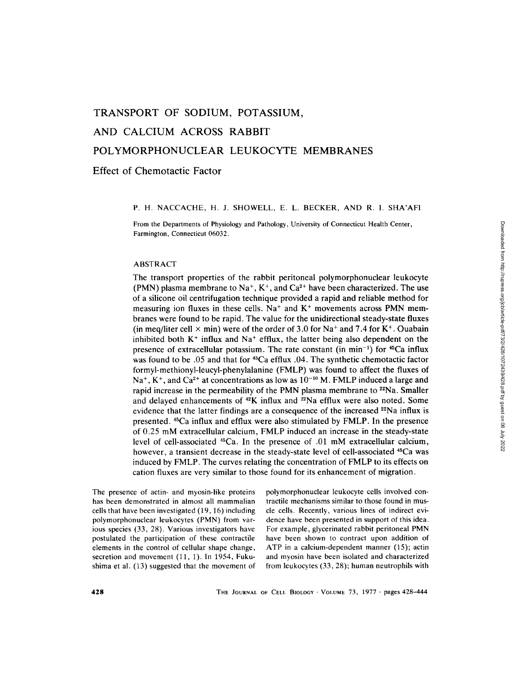# **TRANSPORT OF SODIUM, POTASSIUM, AND CALCIUM ACROSS RABBIT POLYMORPHONUCLEAR LEUKOCYTE MEMBRANES**

**Effect of Chemotactic Factor** 

### P. H. NACCACHE, H. J. SHOWELL, E. L. BECKER, AND R. I. SHA'AF1

From the Departments of Physiology and Pathology, University of Connecticut Health Center, Farmington, Connecticut 06032.

#### ABSTRACT

The transport properties of the rabbit peritoneal polymorphonuclear leukocyte (PMN) plasma membrane to Na<sup>+</sup>, K<sup>+</sup>, and Ca<sup>2+</sup> have been characterized. The use of a silicone oil centrifugation technique provided a rapid and reliable method for measuring ion fluxes in these cells. Na<sup>+</sup> and  $K$ <sup>+</sup> movements across PMN membranes were found to be rapid. The value for the unidirectional steady-state fluxes (in meq/liter cell  $\times$  min) were of the order of 3.0 for Na<sup>+</sup> and 7.4 for K<sup>+</sup>. Ouabain inhibited both  $K^+$  influx and  $Na^+$  efflux, the latter being also dependent on the presence of extracellular potassium. The rate constant (in min<sup>-1</sup>) for  $45Ca$  influx was found to be .05 and that for 45Ca efflux .04. The synthetic chemotactic factor formyl-methionyl-leucyl-phenylalanine (FMLP) was found to affect the fluxes of  $Na<sup>+</sup>$ , K<sup>+</sup>, and Ca<sup>2+</sup> at concentrations as low as  $10<sup>-10</sup>$  M. FMLP induced a large and rapid increase in the permeability of the PMN plasma membrane to  $22$ Na. Smaller and delayed enhancements of  $42K$  influx and  $22Na$  efflux were also noted. Some evidence that the latter findings are a consequence of the increased 22Na influx is presented. <sup>45</sup>Ca influx and efflux were also stimulated by FMLP. In the presence of 0.25 mM extracellular calcium, FMLP induced an increase in the steady-state level of cell-associated 45Ca. In the presence of .01 mM extracellular calcium, however, a transient decrease in the steady-state level of cell-associated <sup>45</sup>Ca was induced by FMLP. The curves relating the concentration of FMLP to its effects on cation fluxes are very similar to those found for its enhancement of migration.

The presence of actin- and myosin-like proteins has been demonstrated in almost all mammalian cells that have been investigated (19, 16) including polymorphonuclear leukocytes (PMN) from various species (33, 28). Various investigators have postulated the participation of these contractile elements in the control of cellular shape change, secretion and movement (11, 1). In 1954, Fukushima et al. (13) suggested that the movement of

polymorphonuclear leukocyte cells involved contractile mechanisms similar to those found in muscle cells. Recently, various lines of indirect evidence have been presented in support of this idea. For example, glycerinated rabbit peritoneal PMN have been shown to contract upon addition of ATP in a calcium-dependent manner (15); actin and myosin have been isolated and characterized from leukocytes (33, 28); human neutrophils with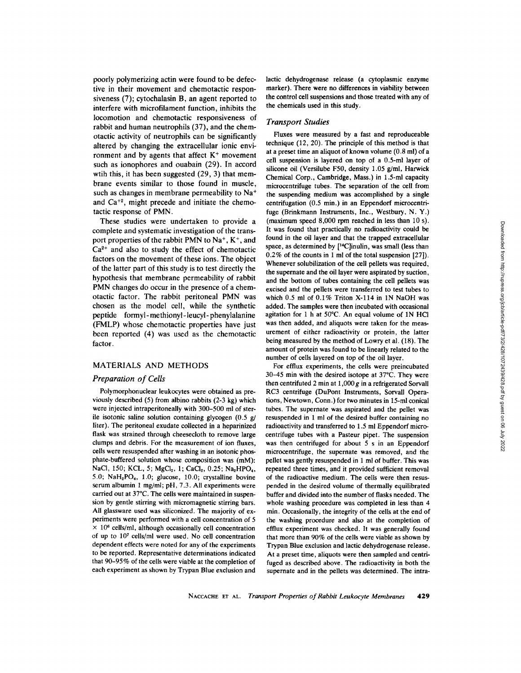Downloaded from http://rupress.org/jcb/article-pdf/73/2/428/1072439/428.pdf by guest on 06 July 2022 Downloaded from http://rupress.org/jcb/article-pdf/73/2/428/1072439/428.pdf by guest on 06 July 2022

poorly polymerizing actin were found to be defective in their movement and chemotactic responsiveness (7); cytochalasin B, an agent reported to interfere with microfilament function, inhibits the locomotion and chemotactic responsiveness of rabbit and human neutrophils (37), and the chemotactic activity of neutrophils can be significantly altered by changing the extraceilular ionic environment and by agents that affect  $K<sup>+</sup>$  movement such as ionophores and ouabain (29). In accord wtih this, it has been suggested (29, 3) that membrane events similar to those found in muscle, such as changes in membrane permeability to  $Na<sup>+</sup>$ and  $Ca^{+2}$ , might precede and initiate the chemotactic response of PMN.

These studies were undertaken to provide a complete and systematic investigation of the transport properties of the rabbit PMN to  $Na<sup>+</sup>$ ,  $K<sup>+</sup>$ , and  $Ca<sup>2+</sup>$  and also to study the effect of chemotactic factors on the movement of these ions. The object of the latter part of this study is to test directly the hypothesis that membrane permeability of rabbit PMN changes do occur in the presence of a chemotactic factor. The rabbit peritoneal PMN was chosen as the model cell, while the synthetic peptide formyl- methionyl- leucyl- phenylalanine (FMLP) whose chemotactic properties have just been reported (4) was used as the chemotactic factor,

#### MATERIALS AND METHODS

#### *Preparation of Cells*

Polymorphonuclear leukocytes were obtained as previously described (5) from albino rabbits (2-3 kg) which were injected intraperitoneally with 300-500 ml of sterile isotonic saline solution containing glycogen  $(0.5 \text{ g})$ liter). The peritoneal exudate collected in a heparinized flask was strained through cheesecloth to remove large clumps and debris. For the measurement of ion fluxes, cells were resuspended after washing in an isotonic phosphate-buffered solution whose composition was (mM): NaCl, 150; KCL, 5; MgCl<sub>2</sub>, 1; CaCl<sub>2</sub>, 0.25; Na<sub>2</sub>HPO<sub>4</sub>, 5.0; NaH<sub>2</sub>PO<sub>4</sub>, 1.0; glucose, 10.0; crystalline bovine serum albumin 1 mg/ml; pH, 7.3. All experiments were carried out at 37°C. The cells were maintained in suspension by gentle stirring with micromagnetic stirring bars. All glassware used was siliconized. The majority of experiments were performed with a cell concentration of 5  $\times$  10<sup>6</sup> cells/ml, although occasionally cell concentration of up to 107 cells/ml were used. No cell concentration dependent effects were noted for any of the experiments to be reported. Representative determinations indicated that 90-95% of the cells were viable at the completion of each experiment as shown by Trypan Blue exclusion and

lactic dehydrogenase release (a cytoplasmic enzyme marker). There were no differences in viability between the control cell suspensions and those treated with any of the chemicals used in this study.

#### *Transport Studies*

Fluxes were measured by a fast and reproduceable technique (12, 20). The principle of this method is that at a preset time an aliquot of known volume (0.8 ml) of a cell suspension is layered on top of a 0.5-ml layer of silicone oil (Versilube FS0, density 1.05 g/ml, Harwick Chemical Corp., Cambridge, Mass.) in 1.5-ml capacity microcentrifuge tubes. The separation of the cell from the suspending medium was accomplished by a single centrifugation (0.5 min.) in an Eppendorf microcentrifuge (Brinkmann Instruments, Inc., Westbury, N. Y.) (maximum speed 8,000 rpm reached in less than 10 s). It was found that practically no radioactivity could be found in the oil layer and that the trapped extracellular space, as determined by [<sup>14</sup>C]inulin, was small (less than 0.2% of the counts in 1 ml of the total suspension [27]). Whenever solubilization of the cell pellets was required, the supernate and the oil layer were aspirated by suction, and the bottom of tubes containing the cell pellets was excised and the pellets were transferred to test tubes to which 0.5 ml of 0.1% Triton X-114 in IN NaOH was added. The samples were then incubated with occasional agitation for 1 h at  $50^{\circ}$ C. An equal volume of 1N HCl was then added, and aliquots were taken for the measurement of either radioactivity or protein, the latter being measured by the method of Lowry et al. (18). The amount of protein was found to be linearly related to the number of cells layered on top of the oil layer.

For efflux experiments, the cells were preincubated 30-45 min with the desired isotope at 37°C. They were then centrifuted 2 min at  $1,000 g$  in a refrigerated Sorvall RC3 centrifuge (DuPont Instruments, Sorvall Operations, Newtown, Conn.) for two minutes in 15-ml conical tubes. The supernate was aspirated and the pellet was resuspended in 1 ml of the desired buffer containing no radioactivity and transferred to 1.5 ml Eppendorf microcentrifuge tubes with a Pasteur pipet. The suspension was then centrifuged for about 5 s in an Eppendorf microcentrifuge, the supernate was removed, and the pellet was gently resuspended in 1 ml of buffer. This was repeated three times, and it provided sufficient removal of the radioactive medium. The cells were then resuspended in the desired volume of thermally equilibrated buffer and divided into the number of flasks needed. The whole washing procedure was completed in less than 4 min. Occasionally, the integrity of the cells at the end of the washing procedure and also at the completion of efflux experiment was checked. It was generally found that more than 90% of the cells were viable as shown by Trypan Blue exclusion and lactic dehydrogenase release. At a preset time, aliquots were then sampled and centrifuged as described above. The radioactivity in both the supernate and in the pellets was determined. The intra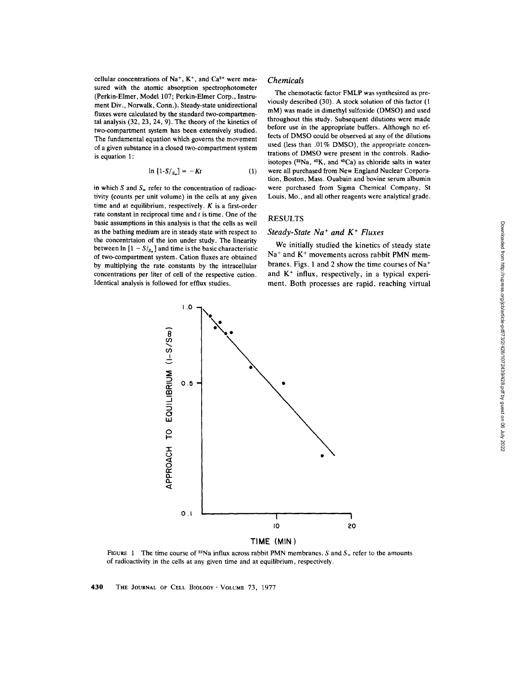cellular concentrations of  $Na^+$ ,  $K^+$ , and  $Ca^{2+}$  were measured with the atomic absorption spectrophotometer (Perkin-Elmer, Model 107; Perkin-Elmer Corp., Instrument Div., Norwalk, Conn.). Steady-state unidirectional fluxes were calculated by the standard two-compartmental analysis (32, 23, 24, 9). The theory of the kinetics of two-compartment system has been extensively studied. The fundamental equation which governs the movement of a given substance in a closed two-compartment system is equation 1:

$$
\ln\left[1-S/s_{\infty}\right] = -Kt\tag{1}
$$

in which S and  $S_{\infty}$  refer to the concentration of radioactivity (counts per unit volume) in the cells at any given time and at equilibrium, respectively.  $K$  is a first-order rate constant in reciprocal time and  $t$  is time. One of the basic assumptions in this analysis is that the cells as well as the bathing medium are in steady state with respect to the concentrtaion of the ion under study. The linearity between  $\ln [1 - S /_{S_{\infty}}]$  and time is the basic characteristic of two-compartment system. Cation fluxes are obtained by multiplying the rate constants by the intracellular concentrations per liter of cell of the respective cation. Identical analysis is followed for efflux studies.

#### *Chemicals*

The chemotactic factor FMLP was synthesized as previously described (30). A stock solution of this factor (1 mM) was made in dimethyl sulfoxide (DMSO) and used throughout this study. Subsequent dilutions were made before use in the appropriate buffers. Although no effects of DMSO could be observed at any of the dilutions used (less than .01% DMSO), the appropriate concentrations of DMSO were present in the controls. Radioisotopes ( $22Na$ ,  $42K$ , and  $45Ca$ ) as chloride salts in water were all purchased from New England Nuclear Corporation, Boston, Mass. Ouabain and bovine serum albumin were purchased from Sigma Chemical Company, St Louis, Mo., and all other reagents were analytical grade.

#### RESULTS

#### *Steady-State Na + and K + Fluxes*

We initially studied the kinetics of steady state  $Na<sup>+</sup>$  and  $K<sup>+</sup>$  movements across rabbit PMN membranes. Figs. 1 and 2 show the time courses of Na<sup>+</sup> and  $K<sup>+</sup>$  influx, respectively, in a typical experiment. Both processes are rapid, reaching virtual



FIGURE 1 The time course of <sup>22</sup>Na influx across rabbit PMN membranes. S and  $S_{\alpha}$  refer to the amounts of radioactivity in the cells at any given time and at equilibrium, respectively.

430 THE JOURNAL OF CELL BIOLOGY · VOLUME 73, 1977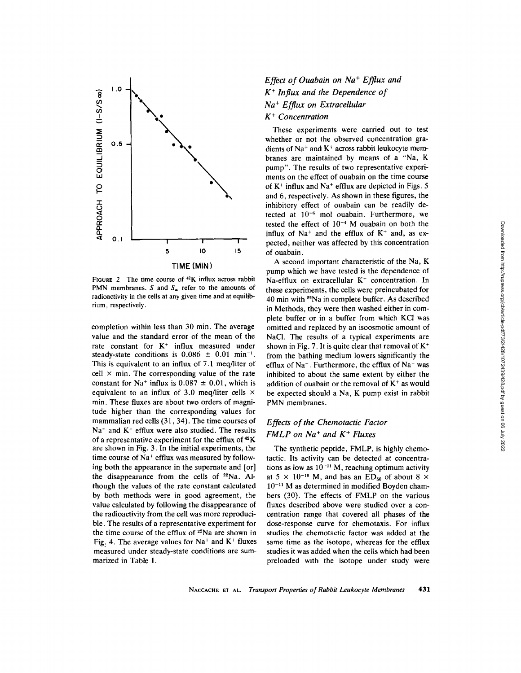

FIGURE 2 The time course of  $42K$  influx across rabbit PMN membranes. S and  $S<sub>z</sub>$  refer to the amounts of radioactivity in the cells at any given time and at equilibrium, respectively.

completion within less than 30 min. The average value and the standard error of the mean of the rate constant for  $K^+$  influx measured under steady-state conditions is  $0.086 \pm 0.01$  min<sup>-1</sup>. This is equivalent to an influx of 7.1 meq/liter of cell  $\times$  min. The corresponding value of the rate constant for Na<sup>+</sup> influx is  $0.087 \pm 0.01$ , which is equivalent to an influx of 3.0 meq/liter cells  $\times$ min. These fluxes are about two orders of magnitude higher than the corresponding values for mammalian red cells (31,34). The time courses of  $Na<sup>+</sup>$  and  $K<sup>+</sup>$  efflux were also studied. The results of a representative experiment for the efflux of  $42K$ are shown in Fig. 3. In the initial experiments, the time course of Na<sup>+</sup> efflux was measured by following both the appearance in the supernate and [or] the disappearance from the cells of  $22Na$ . Although the values of the rate constant calculated by both methods were in good agreement, the value calculated by following the disappearance of the radioactivity from the cell was more reproducible. The results of a representative experiment for the time course of the efflux of <sup>22</sup>Na are shown in Fig. 4. The average values for  $Na<sup>+</sup>$  and  $K<sup>+</sup>$  fluxes measured under steady-state conditions are summarized in Table I.

## *Effect of Ouabain on Na<sup>+</sup> Efflux and K + Influx and the Dependence of Na § E fflux on Extracellular K § Concentration*

These experiments were carried out to test whether or not the observed concentration gradients of Na<sup>+</sup> and K<sup>+</sup> across rabbit leukocyte membranes are maintained by means of a "Na, K pump". The results of two representative experiments on the effect of ouabain on the time course of  $K^+$  influx and Na<sup>+</sup> efflux are depicted in Figs. 5 and 6, respectively. As shown in these figures, the inhibitory effect of ouabain can be readily detected at  $10^{-6}$  mol ouabain. Furthermore, we tested the effect of  $10^{-4}$  M ouabain on both the influx of  $Na<sup>+</sup>$  and the efflux of  $K<sup>+</sup>$  and, as expected, neither was affected by this concentration of ouabain.

A second important characteristic of the Na, K pump which we have tested is the dependence of Na-efflux on extracellular  $K<sup>+</sup>$  concentration. In these experiments, the cells were preincubated for 40 min with 22Na in complete buffer. As described in Methods, they were then washed either in complete buffer or in a buffer from which KCI was omitted and replaced by an isoosmotic amount of NaCI. The results of a typical experiments are shown in Fig. 7. It is quite clear that removal of  $K^+$ from the bathing medium lowers significantly the efflux of Na<sup>+</sup>. Furthermore, the efflux of Na<sup>+</sup> was inhibited to about the same extent by either the addition of ouabain or the removal of  $K<sup>+</sup>$  as would be expected should a Na, K pump exist in rabbit PMN membranes.

## *Effects of the Chemotactic Factor FMLP on Na<sup>+</sup> and K<sup>+</sup> Fluxes*

The synthetic peptide, FMLP, is highly chemotactic. Its activity can be detected at concentrations as low as  $10^{-11}$  M, reaching optimum activity at 5  $\times$  10<sup>-10</sup> M, and has an ED<sub>50</sub> of about 8  $\times$  $10^{-11}$  M as determined in modified Boyden chambers (30). The effects of FMLP on the various fluxes described above were studied over a concentration range that covered all phases of the dose-response curve for chemotaxis. For influx studies the chemotactic factor was added at the same time as the isotope, whereas for the effiux studies it was added when the cells which had been preloaded with the isotope under study were

NACCACHE ET AL. *Transport Properties of Rabbit Leukocyte Membranes* 431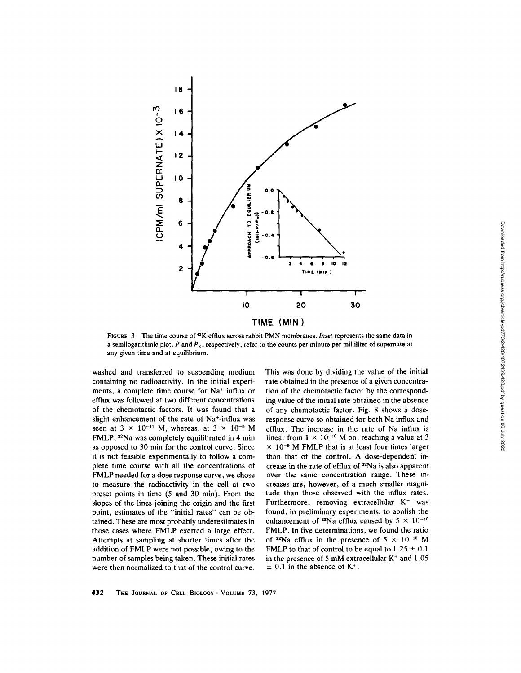

FIGURE 3 The time course of <sup>42</sup>K efflux across rabbit PMN membranes. *Inset* represents the same data in a semilogarithmic plot. P and  $P_{\infty}$ , respectively, refer to the counts per minute per milliliter of supernate at any given time and at equilibrium.

washed and transferred to suspending medium containing no radioactivity. In the initial experiments, a complete time course for  $Na<sup>+</sup>$  influx or efflux was followed at two different concentrations of the chemotactic factors. It was found that a slight enhancement of the rate of Na<sup>+</sup>-influx was seen at  $3 \times 10^{-11}$  M, whereas, at  $3 \times 10^{-9}$  M FMLP, 22Na was completely equilibrated in 4 min as opposed to 30 min for the control curve. Since it is not feasible experimentally to follow a complete time course with all the concentrations of FMLP needed for a dose response curve, we chose to measure the radioactivity in the cell at two preset points in time (5 and 30 min). From the slopes of the lines joining the origin and the first point, estimates of the "initial rates" can be obtained. These are most probably underestimates in those cases where FMLP exerted a large effect. Attempts at sampling at shorter times after the addition of FMLP were not possible, owing to the number of samples being taken. These initial rates were then normalized to that of the control curve.

This was done by dividing the value of the initial rate obtained in the presence of a given concentration of the chemotactic factor by the corresponding value of the initial rate obtained in the absence of any chemotactic factor. Fig. 8 shows a doseresponse curve so obtained for both Na influx and efflux. The increase in the rate of Na influx is linear from  $1 \times 10^{-10}$  M on, reaching a value at 3  $\times$  10<sup>-9</sup> M FMLP that is at least four times larger than that of the control. A dose-dependent increase in the rate of efflux of 22Na is also apparent over the same concentration range. These increases are, however, of a much smaller magnitude than those observed with the influx rates. Furthermore, removing extracellular  $K^+$  was found, in preliminary experiments, to abolish the enhancement of <sup>22</sup>Na efflux caused by  $5 \times 10^{-10}$ FMLP. In five determinations, we found the ratio of <sup>22</sup>Na efflux in the presence of  $5 \times 10^{-10}$  M FMLP to that of control to be equal to  $1.25 \pm 0.1$ in the presence of 5 mM extracellular  $K<sup>+</sup>$  and 1.05  $\pm$  0.1 in the absence of K<sup>+</sup>.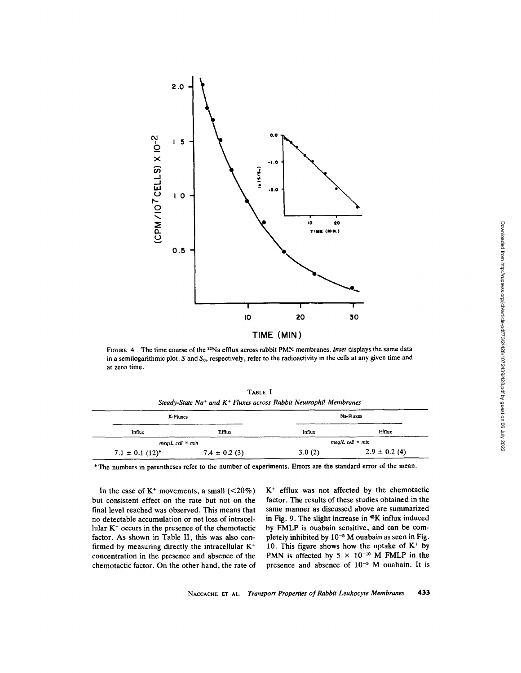

FIGURE 4 The time course of the <sup>22</sup>Na efflux across rabbit PMN membranes. *Inset* displays the same data in a semilogarithmic plot. S and  $S_0$ , respectively, refer to the radioactivity in the cells at any given time and at zero time.

| K-Fluxes                          | Steady-State Na <sup>+</sup> and $K^+$ Fluxes across Rabbit Neutrophil Membranes | Na-Fluxes                |                   |
|-----------------------------------|----------------------------------------------------------------------------------|--------------------------|-------------------|
| Influx                            | Efflux                                                                           | Influx                   | Efflux            |
| $meal$ <i>L</i> cell $\times$ min |                                                                                  | $meal$ cell $\times$ min |                   |
| $7.1 \pm 0.1$ (12) <sup>*</sup>   | $7.4 \pm 0.2$ (3)                                                                | 3.0(2)                   | $2.9 \pm 0.2$ (4) |

TABLE **<sup>I</sup>**

\* The numbers in parentheses refer to the number of experiments. Errors are the standard error of the mean.

In the case of  $K^+$  movements, a small  $(<20\%)$ but consistent effect on the rate but not on the final level reached was observed. This means that no detectable accumulation or net loss of intracellular  $K<sup>+</sup>$  occurs in the presence of the chemotactic factor. As shown in Table II, this was also confirmed by measuring directly the intracellular  $K^+$ concentration in the presence and absence of the chemotactic factor. On the other hand, the rate of  $K^+$  efflux was not affected by the chemotactic factor. The results of these studies obtained in the same manner as discussed above are summarized in Fig. 9. The slight increase in  $42K$  influx induced by FMLP is ouabain sensitive, and can be completely inhibited by  $10^{-5}$  M ouabain as seen in Fig. 10. This figure shows how the uptake of  $K^+$  by PMN is affected by  $5 \times 10^{-10}$  M FMLP in the presence and absence of  $10^{-5}$  M ouabain. It is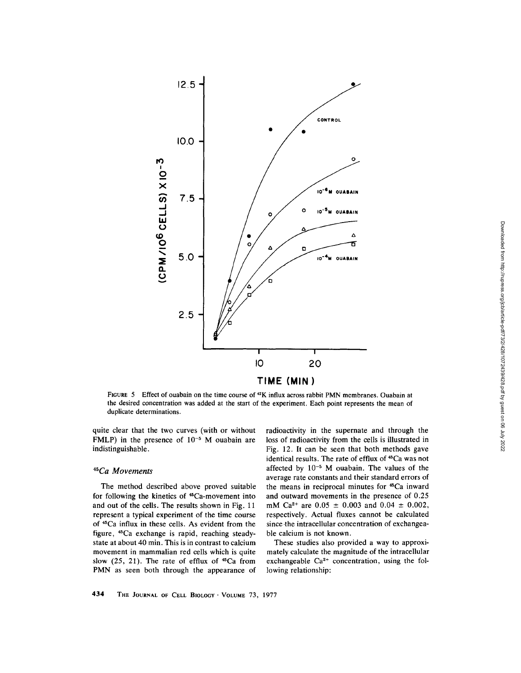

FIGURE 5 Effect of ouabain on the time course of <sup>42</sup>K influx across rabbit PMN membranes. Ouabain at the desired concentration was added at the start of the experiment. Each point represents the mean of duplicate determinations.

quite clear that the two curves (with or without FMLP) in the presence of  $10^{-5}$  M ouabain are indistinguishable.

#### *45Ca Movements*

The method described above proved suitable for following the kinetics of <sup>45</sup>Ca-movement into and out of the cells. The results shown in Fig. 11 represent a typical experiment of the time course of 45Ca influx in these cells. As evident from the figure, 45Ca exchange is rapid, reaching steadystate at about 40 min. This is in contrast to calcium movement in mammalian red cells which is quite slow  $(25, 21)$ . The rate of efflux of  $^{45}Ca$  from PMN as seen both through the appearance of

radioactivity in the supernate and through the loss of radioactivity from the cells is illustrated in Fig. 12. It can be seen that both methods gave identical results. The rate of efflux of <sup>45</sup>Ca was not affected by  $10^{-5}$  M ouabain. The values of the average rate constants and their standard errors of the means in reciprocal minutes for 45Ca inward and outward movements in the presence of 0.25 mM Ca<sup>2+</sup> are  $0.05 \pm 0.003$  and  $0.04 \pm 0.002$ , respectively. Actual fluxes cannot be calculated since the intracellular concentration of exchangeable calcium is not known.

These studies also provided a way to approximately calculate the magnitude of the intracellular exchangeable  $Ca^{2+}$  concentration, using the following relationship: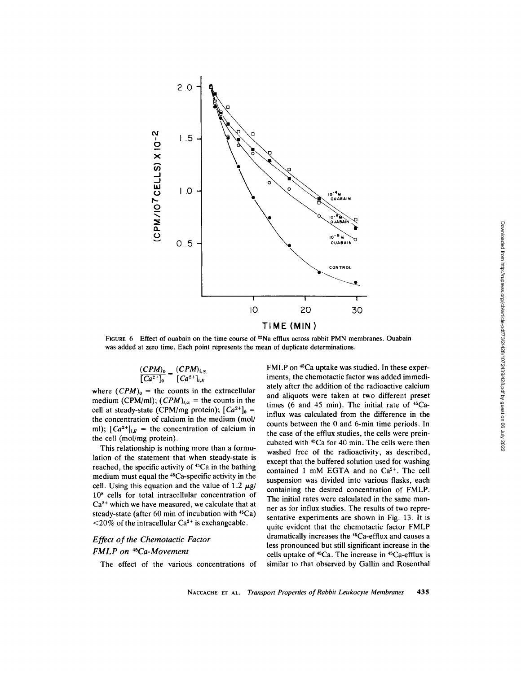

FIGURE 6 Effect of ouabain on the time course of 22Na efflux across rabbit PMN membranes. Ouabain was added at zero time. Each point represents the mean of duplicate determinations.

$$
\frac{(CPM)_0}{[Ca^{2+}]_0} = \frac{(CPM)_{i,\infty}}{[Ca^{2+}]_{i,E}}
$$

where  $(CPM)_0$  = the counts in the extracellular medium (CPM/ml);  $(CPM)_{i,\infty}$  = the counts in the cell at steady-state (CPM/mg protein);  $[Ca^{2+}]_0$  = the concentration of calcium in the medium (mol/ ml);  $[Ca^{2+}]_{i,E}$  = the concentration of calcium in the cell (mol/mg protein).

This relationship is nothing more than a formulation of the statement that when steady-state is reached, the specific activity of <sup>45</sup>Ca in the bathing medium must equal the 45Ca-specific activity in the cell. Using this equation and the value of 1.2  $\mu$ g/ 108 cells for total intracellular concentration of  $Ca<sup>2+</sup>$  which we have measured, we calculate that at steady-state (after 60 min of incubation with  $45Ca$ )  $\langle 20\%$  of the intracellular Ca<sup>2+</sup> is exchangeable.

## *Effect of the Chemotactic Factor*  **FMLP** on <sup>45</sup>Ca-Movement

The effect of the various concentrations of

FMLP on 45Ca uptake was studied. In these experiments, the chemotactic factor was added immediately after the addition of the radioactive calcium and aliquots were taken at two different preset times (6 and 45 min). The initial rate of  $45$ Cainflux was calculated from the difference in the counts between the 0 and 6-min time periods. In the case of the efflux studies, the cells were preincubated with <sup>45</sup>Ca for 40 min. The cells were then washed free of the radioactivity, as described, except that the buffered solution used for washing contained 1 mM EGTA and no  $Ca<sup>2+</sup>$ . The cell suspension was divided into various flasks, each containing the desired concentration of FMLP. The initial rates were calculated in the same manner as for influx studies. The results of two representative experiments are shown in Fig. 13. It is quite evident that the chemotactic factor FMLP dramatically increases the 45Ca-efflux and causes a less pronounced but still significant increase in the cells uptake of 45Ca. The increase in 45Ca-efflux is similar to that observed by Gallin and Rosenthal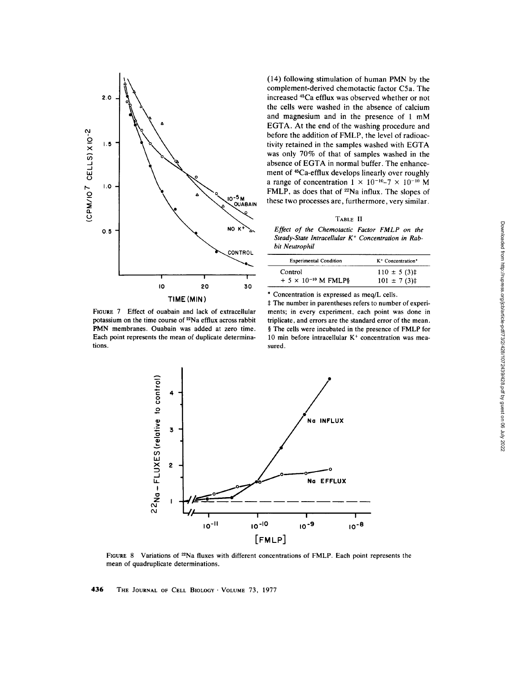

(14) following stimulation of human PMN by the complement-derived chemotactic factor C5a. The increased <sup>45</sup>Ca efflux was observed whether or not the cells were washed in the absence of calcium and magnesium and in the presence of 1 mM EGTA. At the end of the washing procedure and before the addition of FMLP, the level of radioactivity retained in the samples washed with EGTA was only 70% of that of samples washed in the absence of EGTA in normal buffer. The enhancement of <sup>45</sup>Ca-efflux develops linearly over roughly a range of concentration  $1 \times 10^{-10} - 7 \times 10^{-10}$  M FMLP, as does that of <sup>22</sup>Na influx. The slopes of these two processes are, furthermore, very similar.

#### TABLE II

*Effect of the Chemotactic Factor FMLP on the*  Steady-State Intracellular K<sup>+</sup> Concentration in Rab*bit Neutrophil* 

| <b>Experimental Condition</b> | K <sup>+</sup> Concentration <sup>*</sup> |  |
|-------------------------------|-------------------------------------------|--|
| Control                       | $110 \pm 5(3)$ ‡                          |  |
| $+ 5 \times 10^{-10}$ M FMLP§ | $101 \pm 7(3)$ ‡                          |  |

\* Concentration is expressed as meq/L cells.

FIGURE 7 Effect of ouabain and lack of extracellular potassium on the time course of <sup>22</sup>Na efflux across rabbit PMN membranes. Ouabain was added at zero time. Each point represents the mean of duplicate determinations.

\$ The number in parentheses refers to number of experiments; in every experiment, each point was done in triplicate, and errors are the standard error of the mean. § The cells were incubated in the presence of FMLP for 10 min before intracellular  $K<sup>+</sup>$  concentration was measured.



FIGURE 8 Variations of <sup>22</sup>Na fluxes with different concentrations of FMLP. Each point represents the mean of quadruplicate determinations.

436 THE JOURNAL OF CELL BIOLOGY · VOLUME 73, 1977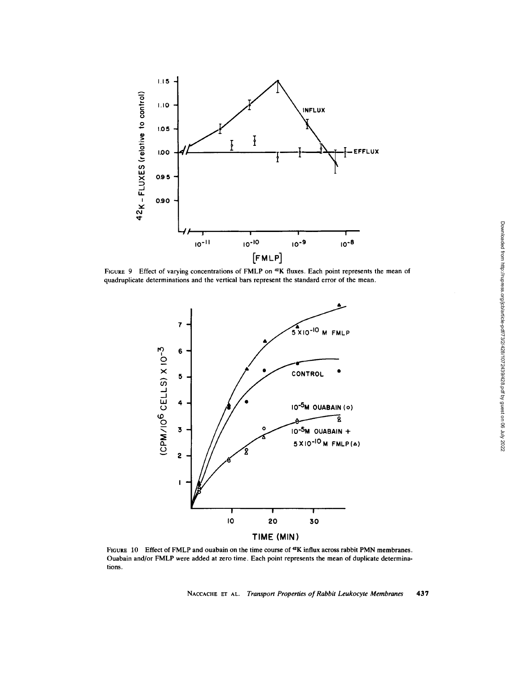

FIGURE 9 Effect of varying concentrations of FMLP on <sup>42</sup>K fluxes. Each point represents the mean of quadruplicate determinations and the vertical bars represent the standard error of the mean.



FIGURE 10 Effect of FMLP and ouabain on the time course of <sup>42</sup>K influx across rabbit PMN membranes. Ouabain and/or FMLP were added at zero time. Each point represents the mean of duplicate determinations.

NACCACHE ET AL. *Transport Properties of Rabbit Leukocyte Membranes* 437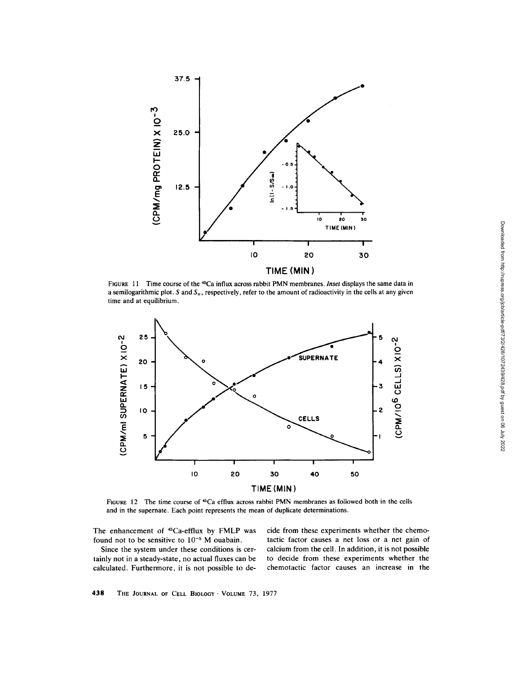

FIGURE 11 Time course of the <sup>45</sup>Ca influx across rabbit PMN membranes. *Inset* displays the same data in a semilogarithmic plot. S and  $S<sub>x</sub>$ , respectively, refer to the amount of radioactivity in the cells at any given time and at equilibrium.



FIGURE 12 The time course of  $C$ a efflux across rabbit PMN membranes as followed both in the cells and in the supernate. Each point represents the mean of duplicate determinations.

The enhancement of <sup>45</sup>Ca-efflux by FMLP was found not to be sensitive to  $10^{-5}$  M ouabain.

Since the system under these conditions is certainly not in a steady-state, no actual fluxes can be calculated. Furthermore, it is not possible to decide from these experiments whether the chemotactic factor causes a net loss or a net gain of calcium from the cell. In addition, it is not possible to decide from these experiments whether the chemotactic factor causes an increase in the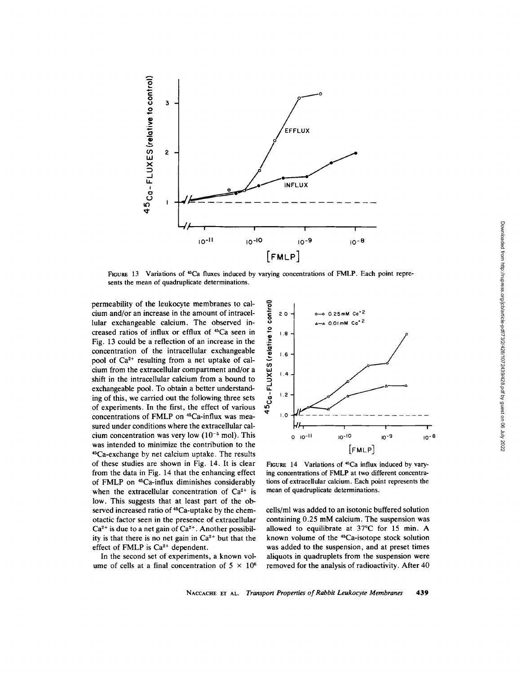

FIGURE 13 Variations of <sup>45</sup>Ca fluxes induced by varying concentrations of FMLP. Each point represents the mean of quadruplicate determinations.

permeability of the leukocyte membranes to calcium and/or an increase in the amount of intraceilular exchangeable calcium. The observed increased ratios of influx or efflux of 45Ca seen in Fig. 13 could be a reflection of an increase in the concentration of the intracellular exchangeable pool of  $Ca^{2+}$  resulting from a net uptake of calcium from the extracellular compartment and/or a shift in the intracellular calcium from a bound to exchangeable pool. To obtain a better understanding of this, we carried out the following three sets of experiments. In the first, the effect of various concentrations of FMLP on 45Ca-influx was measured under conditions where the extracellular calcium concentration was very low  $(10^{-5} \text{ mol})$ . This was intended to minimize the contribution to the 45Ca-exchange by net calcium uptake. The results of these studies are shown in Fig. 14. It is clear from the data in Fig. 14 that the enhancing effect of FMLP on 45Ca-influx diminishes considerably when the extracellular concentration of  $Ca^{2+}$  is low. This suggests that at least part of the observed increased ratio of <sup>45</sup>Ca-uptake by the chemotactic factor seen in the presence of extracellular  $Ca<sup>2+</sup>$  is due to a net gain of  $Ca<sup>2+</sup>$ . Another possibility is that there is no net gain in  $Ca<sup>2+</sup>$  but that the effect of FMLP is  $Ca^{2+}$  dependent.

In the second set of experiments, a known volume of cells at a final concentration of  $5 \times 10^6$ 



FIGURE 14 Variations of  $45Ca$  influx induced by varying concentrations of FMLP at two different concentrations of extracellular calcium. Each point represents the mean of quadruplicate determinations.

cells/ml was added to an isotonic buffered solution containing 0.25 mM calcium. The suspension was allowed to equilibrate at  $37^{\circ}$ C for 15 min. A known volume of the 4sCa-isotope stock solution was added to the suspension, and at preset times aliquots in quadruplets from the suspension were removed for the analysis of radioactivity. After 40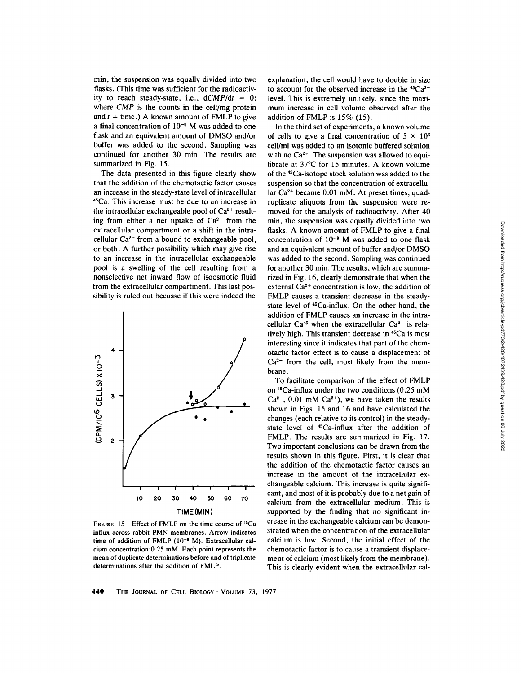min, the suspension was equally divided into two flasks. (This time was sufficient for the radioactivity to reach steady-state, i.e., *dCMP/dt* = 0; where *CMP* is the counts in the cell/mg protein and  $t =$  time.) A known amount of FMLP to give a final concentration of  $10^{-9}$  M was added to one flask and an equivalent amount of DMSO and/or buffer was added to the second. Sampling was continued for another 30 min. The results are summarized in Fig. 15.

The data presented in this figure clearly show that the addition of the chemotactic factor causes an increase in the steady-state level of intracellular 4~Ca. This increase must be due to an increase in the intracellular exchangeable pool of  $Ca^{2+}$  resulting from either a net uptake of  $Ca^{2+}$  from the extracellular compartment or a shift in the intracellular  $Ca^{2+}$  from a bound to exchangeable pool, or both. A further possibility which may give rise to an increase in the intracellular exchangeable pool is a swelling of the cell resulting from a nonselective net inward flow of isoosmotic fluid from the extracellular compartment. This last possibility is ruled out becuase if this were indeed the



FIGURE 15 Effect of FMLP on the time course of <sup>45</sup>Ca influx across rabbit PMN membranes. Arrow indicates time of addition of FMLP  $(10^{-9}$  M). Extracellular calcium concentration: $0.25$  mM. Each point represents the mean of duplicate determinations before and of triplicate determinations after the addition of FMLP.

explanation, the cell would have to double in size to account for the observed increase in the  $45Ca^{2+}$ level. This is extremely unlikely, since the maximum increase in cell volume observed after the addition of FMLP is 15% (15).

In the third set of experiments, a known volume of cells to give a final concentration of  $5 \times 10^{6}$ cell/ml was added to an isotonic buffered solution with no  $Ca^{2+}$ . The suspension was allowed to equilibrate at  $37^{\circ}$ C for 15 minutes. A known volume of the 45Ca-isotope stock solution was added to the suspension so that the concentration of extracellular  $Ca^{2+}$  became 0.01 mM. At preset times, quadruplicate aliquots from the suspension were removed for the analysis of radioactivity. After 40 min, the suspension was equally divided into two flasks. A known amount of FMLP to give a final concentration of  $10^{-9}$  M was added to one flask and an equivalent amount of buffer and/or DMSO was added to the second. Sampling was continued for another 30 min. The results, which are summarized in Fig. 16, clearly demonstrate that when the external  $Ca^{2+}$  concentration is low, the addition of FMLP causes a transient decrease in the steadystate level of <sup>45</sup>Ca-influx. On the other hand, the addition of FMLP causes an increase in the intracellular Ca<sup>45</sup> when the extracellular Ca<sup>2+</sup> is relatively high. This transient decrease in 45Ca is most interesting since it indicates that part of the chemotactic factor effect is to cause a displacement of  $Ca<sup>2+</sup>$  from the cell, most likely from the membrane.

To facilitate comparison of the effect of FMLP on  $45$ Ca-influx under the two conditions (0.25 mM  $Ca^{2+}$ , 0.01 mM  $Ca^{2+}$ ), we have taken the results shown in Figs. 15 and 16 and have calculated the changes (each relative to its control) in the steadystate level of 45Ca-influx after the addition of FMLP. The results are summarized in Fig. 17. Two important conclusions can be drawn from the results shown in this figure. First, it is clear that the addition of the chemotactic factor causes an increase in the amount of the intracellular exchangeable calcium. This increase is quite significant, and most of it is probably due to a net gain of calcium from the extracellular medium. This is supported by the finding that no significant increase in the exchangeable calcium can be demonstrated when the concentration of the extracellular calcium is low. Second, the initial effect of the chemotactic factor is to cause a transient displacement of calcium (most likely from the membrane). This is clearly evident when the extracellular cal-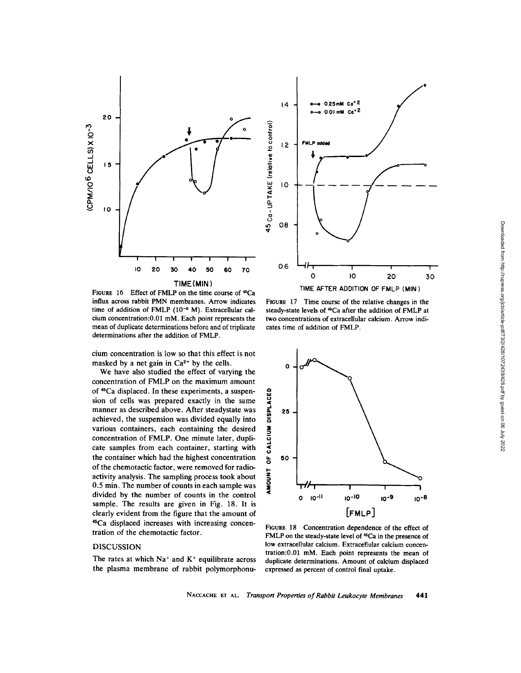



FIGURE 16 Effect of FMLP on the time course of <sup>45</sup>Ca influx across rabbit PMN membranes. Arrow indicates time of addition of FMLP  $(10^{-9}$  M). Extracellular calcium concentration:0.01 mM. Each point represents the mean of duplicate determinations before and of triplicate determinations after the addition of FMLP.

cium concentration is low so that this effect is not masked by a net gain in  $Ca^{2+}$  by the cells.

We have also studied the effect of varying the concentration of FMLP on the maximum amount of <sup>45</sup>Ca displaced. In these experiments, a suspension of cells was prepared exactly in the same manner as described above. After steadystate was achieved, the suspension was divided equally into various containers, each containing the desired concentration of FMLP. One minute later, duplicate samples from each container, starting with the container which had the highest concentration of the chemotactic factor, were removed for radioactivity analysis. The sampling process took about 0.5 min. The number of counts in each sample was divided by the number of counts in the control sample. The results are given in Fig. 18. It is clearly evident from the figure that the amount of 4"Ca displaced increases with increasing concentration of the chemotactic factor.

## DISCUSSION

The rates at which  $Na<sup>+</sup>$  and  $K<sup>+</sup>$  equilibrate across the plasma membrane of rabbit polymorphonu-

FIGURE 17 Time course of the relative changes in the steady-state levels of <sup>45</sup>Ca after the addition of FMLP at two concentrations of extracellular calcium. Arrow indicates time of addition of FMLP.



FIGURE 18 Concentration dependence of the effect of FMLP on the steady-state level of <sup>45</sup>Ca in the presence of low extracellular calcium. Extracellular calcium concentration:0.01 mM. Each point represents the mean of duplicate determinations. Amount of calcium displaced expressed as percent of control final uptake.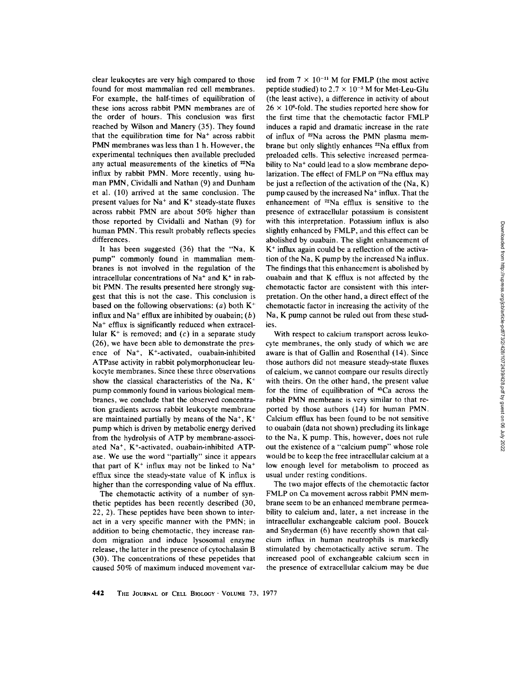clear leukocytes are very high compared to those found for most mammalian red cell membranes. For example, the half-times of equilibration of these ions across rabbit PMN membranes are of the order of hours. This conclusion was first reached by Wilson and Manery (35). They found that the equilibration time for  $Na<sup>+</sup>$  across rabbit PMN membranes was less than 1 h. However, the experimental techniques then available precluded any actual measurements of the kinetics of  $22Na$ influx by rabbit PMN. More recently, using human PMN, Cividalli and Nathan (9) and Dunham et al. (10) arrived at the same conclusion. The present values for  $Na<sup>+</sup>$  and  $K<sup>+</sup>$  steady-state fluxes across rabbit PMN are about 50% higher than those reported by Cividalli and Nathan (9) for human PMN. This result probably reflects species differences.

It has been suggested (36) that the "Na, K pump" commonly found in mammalian membranes is not involved in the regulation of the intracellular concentrations of  $Na<sup>+</sup>$  and  $K<sup>+</sup>$  in rabbit PMN. The results presented here strongly suggest that this is not the case. This conclusion is based on the following observations:  $(a)$  both  $K^+$ influx and Na<sup>+</sup> efflux are inhibited by ouabain;  $(b)$  $Na<sup>+</sup>$  efflux is significantly reduced when extracellular  $K^+$  is removed; and  $(c)$  in a separate study (26), we have been able to demonstrate the presence of  $Na<sup>+</sup>$ , K<sup>+</sup>-activated, ouabain-inhibited ATPase activity in rabbit polymorphonuclear leukocyte membranes. Since these three observations show the classical characteristics of the Na,  $K^+$ pump commonly found in various biological membranes, we conclude that the observed concentration gradients across rabbit leukocyte membrane are maintained partially by means of the  $Na^+$ ,  $K^+$ pump which is driven by metabolic energy derived from the hydrolysis of ATP by membrane-associated  $Na<sup>+</sup>$ , K<sup>+</sup>-activated, ouabain-inhibited ATPase. We use the word "partially" since it appears that part of  $K^+$  influx may not be linked to Na<sup>+</sup> efflux since the steady-state value of K influx is higher than the corresponding value of Na efflux.

The chemotactic activity of a number of synthetic peptides has been recently described (30, 22, 2). These peptides have been shown to interact in a very specific manner with the PMN; in addition to being chemotactic, they increase random migration and induce lysosomal enzyme release, the latter in the presence of cytochalasin B (30). The concentrations of these pepetides that caused 50% of maximum induced movement varied from  $7 \times 10^{-11}$  M for FMLP (the most active peptide studied) to  $2.7 \times 10^{-3}$  M for Met-Leu-Glu (the least active), a difference in activity of about  $26 \times 10^6$ -fold. The studies reported here show for the first time that the chemotactic factor FMLP induces a rapid and dramatic increase in the rate of influx of 22Na across the PMN plasma membrane but only slightly enhances  $22$ Na efflux from preloaded cells. This selective increased permeability to  $Na<sup>+</sup>$  could lead to a slow membrane depolarization. The effect of FMLP on <sup>22</sup>Na efflux may be just a reflection of the activation of the (Na, K) pump caused by the increased  $Na<sup>+</sup>$  influx. That the enhancement of  $22$ Na efflux is sensitive to the presence of extracellular potassium is consistent with this interpretation. Potassium influx is also slightly enhanced by FMLP, and this effect can be abolished by ouabain. The slight enhancement of  $K<sup>+</sup>$  influx again could be a reflection of the activation of the Na, K pump by the increased Na influx. The findings that this enhancement is abolished by ouabain and that K effiux is not affected by the chemotactic factor are consistent with this interpretation. On the other hand, a direct effect of the chemotactic factor in increasing the activity of the Na, K pump cannot be ruled out from these studies.

With respect to calcium transport across leukocyte membranes, the only study of which we are aware is that of Gallin and Rosenthal (14). Since those authors did not measure steady-state fluxes of calcium, we cannot compare our results directly with theirs. On the other hand, the present value for the time of equilibration of  $45Ca$  across the rabbit PMN membrane is very similar to that reported by those authors (14) for human PMN. Calcium effiux has been found to be not sensitive to ouabain (data not shown) precluding its linkage to the Na, K pump. This, however, does not rule out the existence of a "calcium pump" whose role would be to keep the free intracellular calcium at a low enough level for metabolism to proceed as usual under resting conditions.

The two major effects of the chemotactic factor FMLP on Ca movement across rabbit PMN membrane seem to be an enhanced membrane permeability to calcium and, later, a net increase in the intracellular exchangeable calcium pool. Boucek and Snyderman (6) have recently shown that calcium influx in human neutrophils is markedly stimulated by chemotactically active serum. The increased pool of exchangeable calcium seen in the presence of extracellular calcium may be due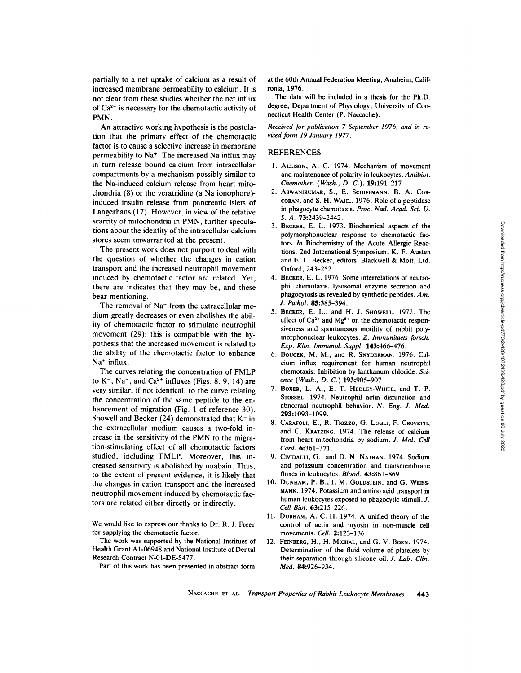partially to a net uptake of calcium as a result of increased membrane permeability to calcium. It is not clear from these studies whether the net influx of  $Ca^{2+}$  is necessary for the chemotactic activity of PMN.

An attractive working hypothesis is the postulation that the primary effect of the chemotactic factor is to cause a selective increase in membrane permeability to  $Na<sup>+</sup>$ . The increased Na influx may in turn release bound calcium from intracellular compartments by a mechanism possibly similar to the Na-induced calcium release from heart mitochondria (8) or the veratridine (a Na ionophore) induced insulin release from pancreatic islets of Langerhans (17). However, in view of the relative scarcity of mitochondria in PMN, further speculations about the identity of the intracellular calcium stores seem unwarranted at the present.

The present work does not purport to deal with the question of whether the changes in cation transport and the increased neutrophil movement induced by chemotactic factor are related. Yet, there are indicates that they may be, and these bear mentioning.

The removal of  $Na<sup>+</sup>$  from the extracellular medium greatly decreases or even abolishes the ability of chemotactic factor to stimulate neutrophil movement (29); this is compatible with the hypothesis that the increased movement is related to the ability of the chemotactic factor to enhance  $Na<sup>+</sup>$  influx.

The curves relating the concentration of FMLP to  $K^+$ , Na<sup>+</sup>, and Ca<sup>2+</sup> influxes (Figs. 8, 9, 14) are very similar, if not identical, to the curve relating the concentration of the same peptide to the enhancement of migration (Fig. 1 of reference 30). Showell and Becker (24) demonstrated that  $K^+$  in the extracellular medium causes a two-fold increase in the sensitivity of the PMN to the migration-stimulating effect of all chemotactic factors studied, including FMLP. Moreover, this increased sensitivity is abolished by ouabain. Thus, to the extent of present evidence, it is likely that the changes in cation transport and the increased neutrophil movement induced by chemotactic factors are related either directly or indirectly.

We would like to express our thanks to Dr. R. J. Freer for supplying the chemotactic factor.

The work was supported by the National Institues of Health Grant A1-06948 and National Institute of Dental Research Contract N-01-DE-5477.

Part of this work has been presented in abstract form

at the 60th Annual Federation Meeting, Anaheim, Califronia, 1976.

The data will be included in a thesis for the Ph.D. degree, Department of Physiology, University of Connecticut Health Center (P. Naccache).

*Received for publication 7 September 1976, and in revised form 19 January 1977.* 

#### REFERENCES

- 1. ALLISON, A. C. 1974. Mechanism of movement and maintenance of polarity in leukocytes. *Antibiot. Chemother. (Wash., D. C.).* 19:191-217.
- 2. ASWANIKUMAR, S., E. SCHIFFMANN, B. A. COR-CORAN, and S. H. WAHL. 1976. Role of a peptidase in phagocyte chemotaxis. *Proc. Nad. Acad. Sci. U.*  S. A. 73:2439-2442.
- 3. BECKER, E. L. 1973. Biochemical aspects of the polymorphonuclear response to chemotactic factors. *In* Biochemistry of the Acute Allergic Reactions. 2nd International Symposium. K. F. Austen and E. L. Becker, editors. Blackwell & Mott, Ltd. Oxford, 243-252.
- 4. BECKER, E. L. 1976. Some interrelations of neutrophil chemotaxis, lysosomal enzyme secretion and phagocytosis as revealed by synthetic peptides. *Am. J. Pathol.* 85:385-394.
- 5. BECKER, E. L., and H. J. SHOWELL. 1972. The effect of  $Ca^{2+}$  and  $Mg^{2+}$  on the chemotactic responsiveness and spontaneous motility of rabbit polymorphonuclear leukocytes. Z. *Immunitaets forsch. Exp. Kiln. Immunol. Suppl.* 143:466-476.
- 6. BOUCEK, M. M., and R. SNYDERMAN. 1976. Calcium influx requirement for human neutrophil chemotaxis: Inhibition by lanthanum chloride. *Science (Wash., D. C.)* 193:905-907.
- 7. BOXER, L. A., E. T. HEDLEY-WHITE, and T. P. STOSSEL. 1974. Neutrophil actin disfunction and abnormal neutrophil behavior. *N. Eng. J. Med.*  293:1093-1099.
- 8. CARAFOLI, E., R. TIOZZO, G. LUGLI, F. CROVETTI, and C. KRATZING. 1974. The release of calcium from heart mitochondria by sodium. *J. Mol. Cell Card.* 6:361-371.
- 9. CIVIDALLI, G., and D. N. NATHAN. 1974. Sodium and potassium concentration and transmembrane fluxes in leukocytes. *Blood.* 43:861-869.
- 10. DUNHAM, P. B., I. M. GOLDSTEIN, and G. WEISS-MANN. 1974. Potassium and amino acid transport in human leukocytes exposed to phagocytic stimuli. J. *Cell Biol.* 63:215-226.
- 11. DURHAM, A. C. H. 1974. A unified theory of the control of actin and myosin in non-muscle cell movements. *Cell.* 2:123-136.
- 12. FEINBERG, H., H. MICHAL, and G. V. BORN. 1974. Determination of the fluid volume of platelets by their separation through silicone oil. *J. Lab. Clin. Med.* 84:926-934.

NACCACHE ET AL. *Transport Properties of Rabbit Leukocyte Membranes* 443